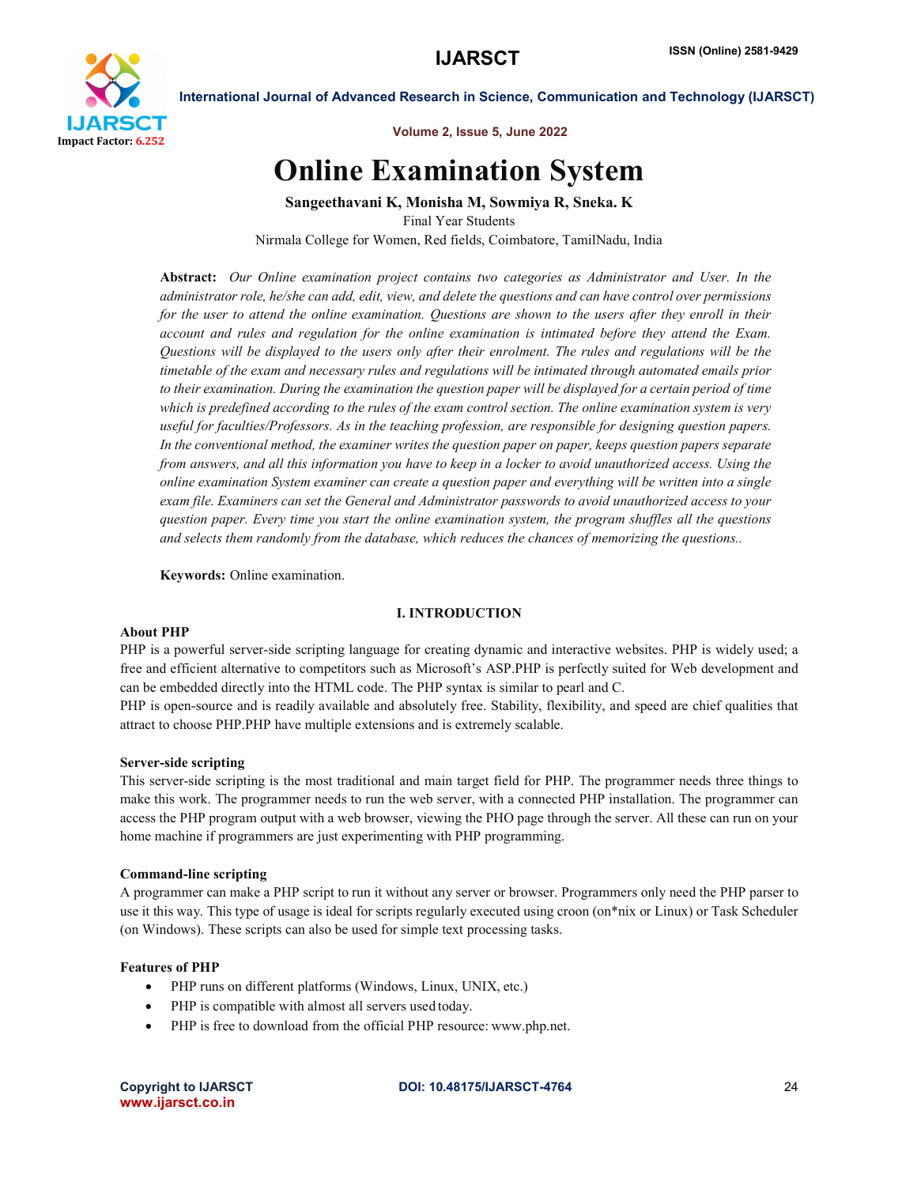

Volume 2, Issue 5, June 2022

# Online Examination System

Sangeethavani K, Monisha M, Sowmiya R, Sneka. K Final Year Students Nirmala College for Women, Red fields, Coimbatore, TamilNadu, India

Abstract: *Our Online examination project contains two categories as Administrator and User. In the administrator role, he/she can add, edit, view, and delete the questions and can have control over permissions for the user to attend the online examination. Questions are shown to the users after they enroll in their account and rules and regulation for the online examination is intimated before they attend the Exam. Questions will be displayed to the users only after their enrolment. The rules and regulations will be the timetable of the exam and necessary rules and regulations will be intimated through automated emails prior to their examination. During the examination the question paper will be displayed for a certain period of time which is predefined according to the rules of the exam control section. The online examination system is very useful for faculties/Professors. As in the teaching profession, are responsible for designing question papers. In the conventional method, the examiner writes the question paper on paper, keeps question papers separate from answers, and all this information you have to keep in a locker to avoid unauthorized access. Using the online examination System examiner can create a question paper and everything will be written into a single exam file. Examiners can set the General and Administrator passwords to avoid unauthorized access to your question paper. Every time you start the online examination system, the program shuffles all the questions and selects them randomly from the database, which reduces the chances of memorizing the questions..*

Keywords: Online examination.

### I. INTRODUCTION

### About PHP

PHP is a powerful server-side scripting language for creating dynamic and interactive websites. PHP is widely used; a free and efficient alternative to competitors such as Microsoft's ASP.PHP is perfectly suited for Web development and can be embedded directly into the HTML code. The PHP syntax is similar to pearl and C.

PHP is open-source and is readily available and absolutely free. Stability, flexibility, and speed are chief qualities that attract to choose PHP.PHP have multiple extensions and is extremely scalable.

### Server-side scripting

This server-side scripting is the most traditional and main target field for PHP. The programmer needs three things to make this work. The programmer needs to run the web server, with a connected PHP installation. The programmer can access the PHP program output with a web browser, viewing the PHO page through the server. All these can run on your home machine if programmers are just experimenting with PHP programming.

### Command-line scripting

A programmer can make a PHP script to run it without any server or browser. Programmers only need the PHP parser to use it this way. This type of usage is ideal for scripts regularly executed using croon (on\*nix or Linux) or Task Scheduler (on Windows). These scripts can also be used for simple text processing tasks.

### Features of PHP

- PHP runs on different platforms (Windows, Linux, UNIX, etc.)
- PHP is compatible with almost all servers used today.
- PHP is free to download from the official PHP resource: www.php.net.

www.ijarsct.co.in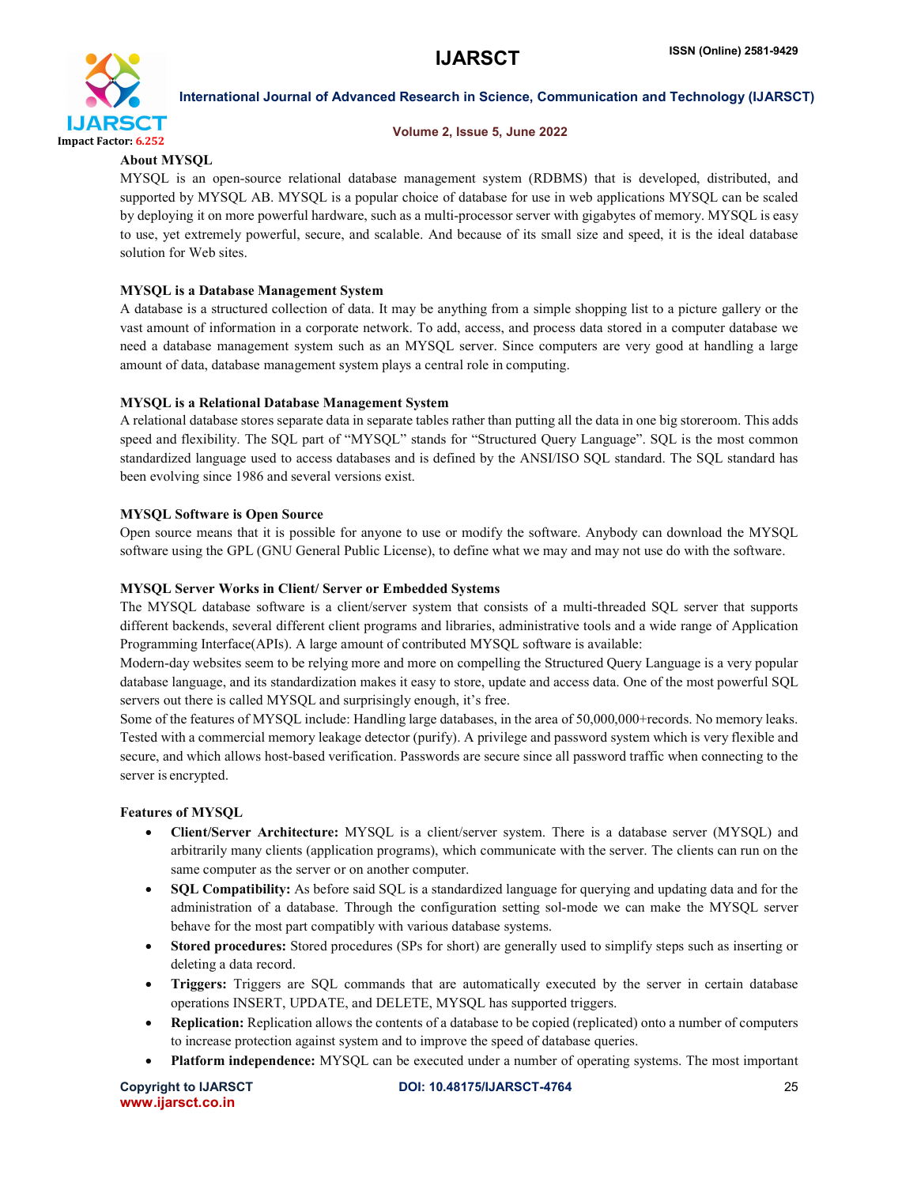

### Volume 2, Issue 5, June 2022

### About MYSQL

MYSQL is an open-source relational database management system (RDBMS) that is developed, distributed, and supported by MYSQL AB. MYSQL is a popular choice of database for use in web applications MYSQL can be scaled by deploying it on more powerful hardware, such as a multi-processor server with gigabytes of memory. MYSQL is easy to use, yet extremely powerful, secure, and scalable. And because of its small size and speed, it is the ideal database solution for Web sites.

### MYSQL is a Database Management System

A database is a structured collection of data. It may be anything from a simple shopping list to a picture gallery or the vast amount of information in a corporate network. To add, access, and process data stored in a computer database we need a database management system such as an MYSQL server. Since computers are very good at handling a large amount of data, database management system plays a central role in computing.

### MYSQL is a Relational Database Management System

A relational database stores separate data in separate tables rather than putting all the data in one big storeroom. This adds speed and flexibility. The SQL part of "MYSQL" stands for "Structured Query Language". SQL is the most common standardized language used to access databases and is defined by the ANSI/ISO SQL standard. The SQL standard has been evolving since 1986 and several versions exist.

### MYSQL Software is Open Source

Open source means that it is possible for anyone to use or modify the software. Anybody can download the MYSQL software using the GPL (GNU General Public License), to define what we may and may not use do with the software.

### MYSQL Server Works in Client/ Server or Embedded Systems

The MYSQL database software is a client/server system that consists of a multi-threaded SQL server that supports different backends, several different client programs and libraries, administrative tools and a wide range of Application Programming Interface(APIs). A large amount of contributed MYSQL software is available:

Modern-day websites seem to be relying more and more on compelling the Structured Query Language is a very popular database language, and its standardization makes it easy to store, update and access data. One of the most powerful SQL servers out there is called MYSQL and surprisingly enough, it's free.

Some of the features of MYSQL include: Handling large databases, in the area of 50,000,000+records. No memory leaks. Tested with a commercial memory leakage detector (purify). A privilege and password system which is very flexible and secure, and which allows host-based verification. Passwords are secure since all password traffic when connecting to the server is encrypted.

### Features of MYSQL

- Client/Server Architecture: MYSQL is a client/server system. There is a database server (MYSQL) and arbitrarily many clients (application programs), which communicate with the server. The clients can run on the same computer as the server or on another computer.
- SQL Compatibility: As before said SQL is a standardized language for querying and updating data and for the administration of a database. Through the configuration setting sol-mode we can make the MYSQL server behave for the most part compatibly with various database systems.
- Stored procedures: Stored procedures (SPs for short) are generally used to simplify steps such as inserting or deleting a data record.
- Triggers: Triggers are SQL commands that are automatically executed by the server in certain database operations INSERT, UPDATE, and DELETE, MYSQL has supported triggers.
- Replication: Replication allows the contents of a database to be copied (replicated) onto a number of computers to increase protection against system and to improve the speed of database queries.
- Platform independence: MYSQL can be executed under a number of operating systems. The most important

www.ijarsct.co.in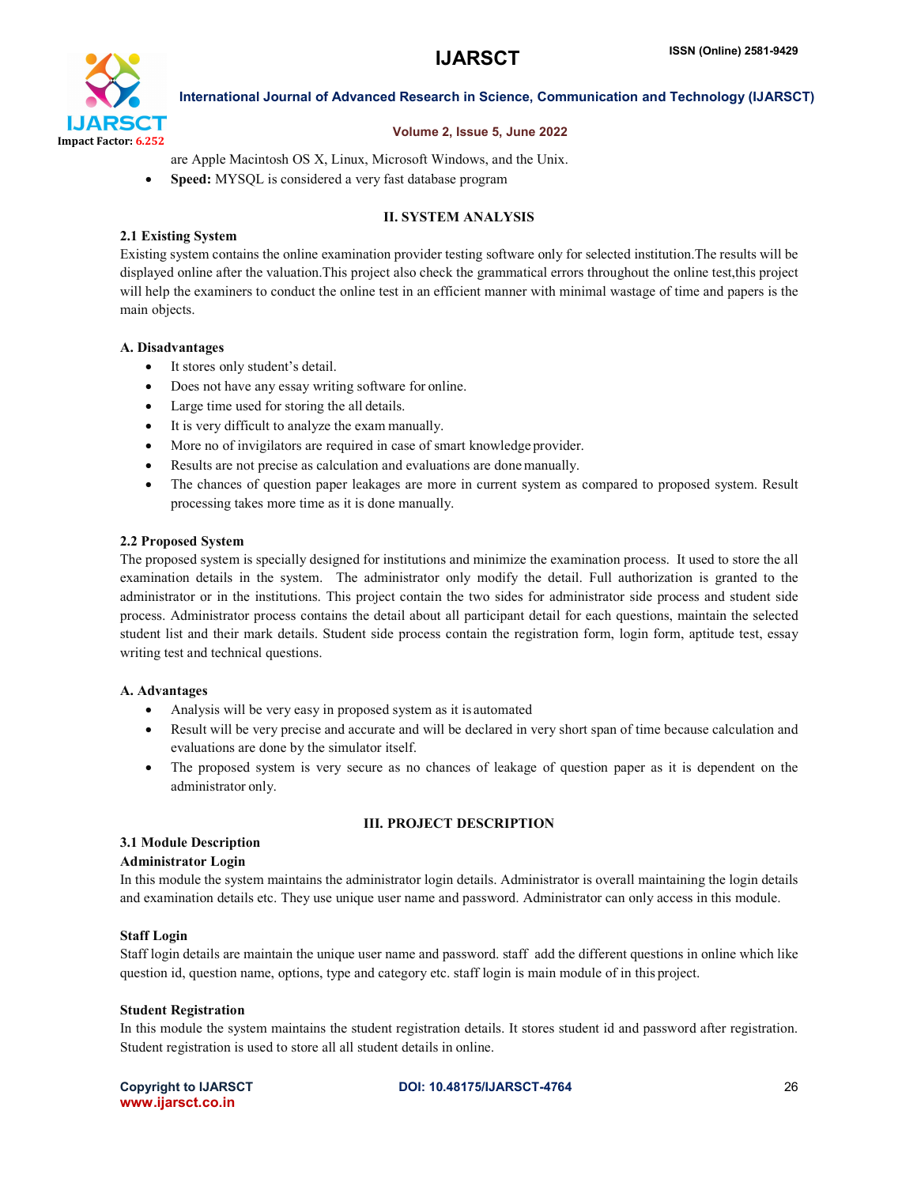

### Volume 2, Issue 5, June 2022

are Apple Macintosh OS X, Linux, Microsoft Windows, and the Unix.

• Speed: MYSQL is considered a very fast database program

### II. SYSTEM ANALYSIS

### 2.1 Existing System

Existing system contains the online examination provider testing software only for selected institution.The results will be displayed online after the valuation.This project also check the grammatical errors throughout the online test,this project will help the examiners to conduct the online test in an efficient manner with minimal wastage of time and papers is the main objects.

### A. Disadvantages

- It stores only student's detail.
- Does not have any essay writing software for online.
- Large time used for storing the all details.
- It is very difficult to analyze the exam manually.
- More no of invigilators are required in case of smart knowledge provider.
- Results are not precise as calculation and evaluations are done manually.
- The chances of question paper leakages are more in current system as compared to proposed system. Result processing takes more time as it is done manually.

### 2.2 Proposed System

The proposed system is specially designed for institutions and minimize the examination process. It used to store the all examination details in the system. The administrator only modify the detail. Full authorization is granted to the administrator or in the institutions. This project contain the two sides for administrator side process and student side process. Administrator process contains the detail about all participant detail for each questions, maintain the selected student list and their mark details. Student side process contain the registration form, login form, aptitude test, essay writing test and technical questions.

### A. Advantages

- Analysis will be very easy in proposed system as it is automated
- Result will be very precise and accurate and will be declared in very short span of time because calculation and evaluations are done by the simulator itself.
- The proposed system is very secure as no chances of leakage of question paper as it is dependent on the administrator only.

## 3.1 Module Description

## Administrator Login

In this module the system maintains the administrator login details. Administrator is overall maintaining the login details and examination details etc. They use unique user name and password. Administrator can only access in this module.

III. PROJECT DESCRIPTION

### Staff Login

Staff login details are maintain the unique user name and password. staff add the different questions in online which like question id, question name, options, type and category etc. staff login is main module of in this project.

### Student Registration

In this module the system maintains the student registration details. It stores student id and password after registration. Student registration is used to store all all student details in online.

www.ijarsct.co.in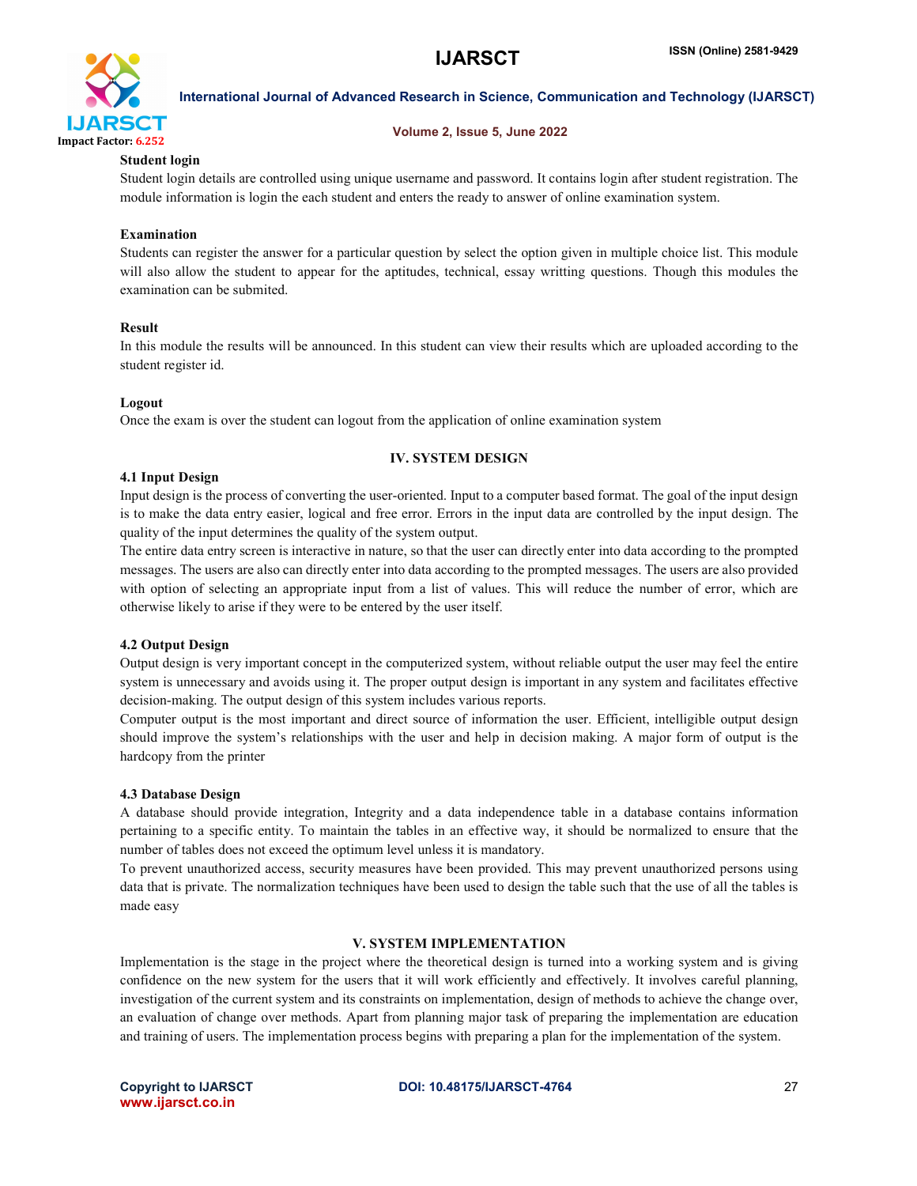

### Volume 2, Issue 5, June 2022

### Student login

Student login details are controlled using unique username and password. It contains login after student registration. The module information is login the each student and enters the ready to answer of online examination system.

### Examination

Students can register the answer for a particular question by select the option given in multiple choice list. This module will also allow the student to appear for the aptitudes, technical, essay writting questions. Though this modules the examination can be submited.

### Result

In this module the results will be announced. In this student can view their results which are uploaded according to the student register id.

### Logout

Once the exam is over the student can logout from the application of online examination system

### IV. SYSTEM DESIGN

### 4.1 Input Design

Input design is the process of converting the user-oriented. Input to a computer based format. The goal of the input design is to make the data entry easier, logical and free error. Errors in the input data are controlled by the input design. The quality of the input determines the quality of the system output.

The entire data entry screen is interactive in nature, so that the user can directly enter into data according to the prompted messages. The users are also can directly enter into data according to the prompted messages. The users are also provided with option of selecting an appropriate input from a list of values. This will reduce the number of error, which are otherwise likely to arise if they were to be entered by the user itself.

### 4.2 Output Design

Output design is very important concept in the computerized system, without reliable output the user may feel the entire system is unnecessary and avoids using it. The proper output design is important in any system and facilitates effective decision-making. The output design of this system includes various reports.

Computer output is the most important and direct source of information the user. Efficient, intelligible output design should improve the system's relationships with the user and help in decision making. A major form of output is the hardcopy from the printer

### 4.3 Database Design

A database should provide integration, Integrity and a data independence table in a database contains information pertaining to a specific entity. To maintain the tables in an effective way, it should be normalized to ensure that the number of tables does not exceed the optimum level unless it is mandatory.

To prevent unauthorized access, security measures have been provided. This may prevent unauthorized persons using data that is private. The normalization techniques have been used to design the table such that the use of all the tables is made easy

### V. SYSTEM IMPLEMENTATION

Implementation is the stage in the project where the theoretical design is turned into a working system and is giving confidence on the new system for the users that it will work efficiently and effectively. It involves careful planning, investigation of the current system and its constraints on implementation, design of methods to achieve the change over, an evaluation of change over methods. Apart from planning major task of preparing the implementation are education and training of users. The implementation process begins with preparing a plan for the implementation of the system.